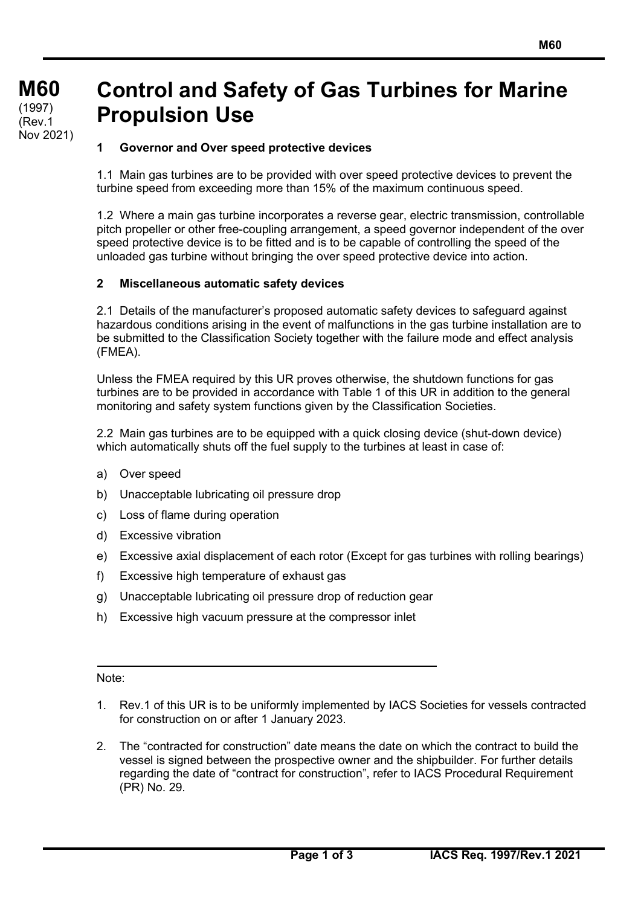# **Control and Safety of Gas Turbines for Marine Propulsion Use**

# **1 Governor and Over speed protective devices**

1.1 Main gas turbines are to be provided with over speed protective devices to prevent the turbine speed from exceeding more than 15% of the maximum continuous speed.

1.2 Where a main gas turbine incorporates a reverse gear, electric transmission, controllable pitch propeller or other free-coupling arrangement, a speed governor independent of the over speed protective device is to be fitted and is to be capable of controlling the speed of the unloaded gas turbine without bringing the over speed protective device into action.

## **2 Miscellaneous automatic safety devices**

2.1 Details of the manufacturer's proposed automatic safety devices to safeguard against hazardous conditions arising in the event of malfunctions in the gas turbine installation are to be submitted to the Classification Society together with the failure mode and effect analysis (FMEA).

Unless the FMEA required by this UR proves otherwise, the shutdown functions for gas turbines are to be provided in accordance with Table 1 of this UR in addition to the general monitoring and safety system functions given by the Classification Societies.

2.2 Main gas turbines are to be equipped with a quick closing device (shut-down device) which automatically shuts off the fuel supply to the turbines at least in case of:

- a) Over speed
- b) Unacceptable lubricating oil pressure drop
- c) Loss of flame during operation
- d) Excessive vibration
- e) Excessive axial displacement of each rotor (Except for gas turbines with rolling bearings)
- f) Excessive high temperature of exhaust gas
- g) Unacceptable lubricating oil pressure drop of reduction gear
- h) Excessive high vacuum pressure at the compressor inlet

#### Note:

- 1. Rev.1 of this UR is to be uniformly implemented by IACS Societies for vessels contracted for construction on or after 1 January 2023.
- 2. The "contracted for construction" date means the date on which the contract to build the vessel is signed between the prospective owner and the shipbuilder. For further details regarding the date of "contract for construction", refer to IACS Procedural Requirement (PR) No. 29.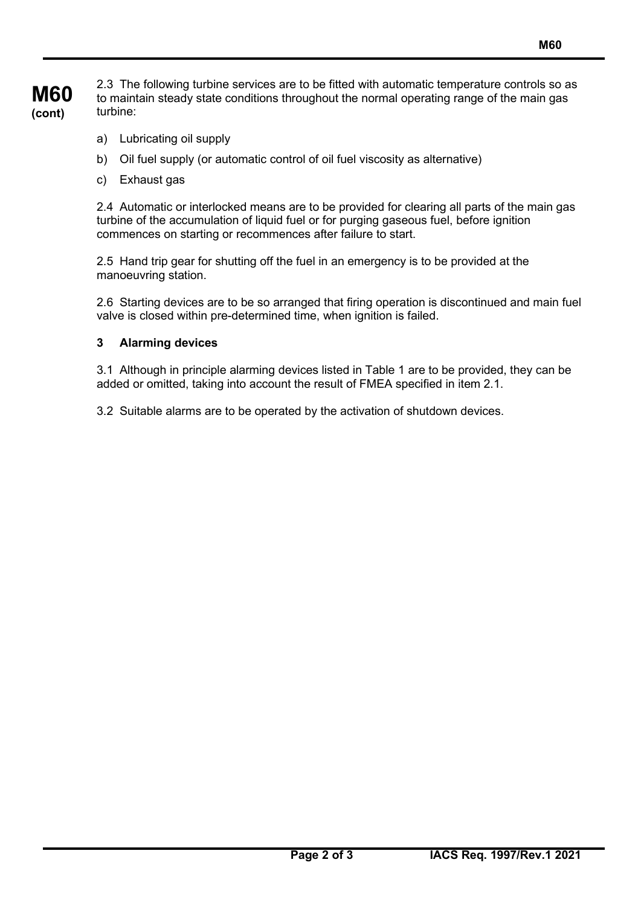2.3 The following turbine services are to be fitted with automatic temperature controls so as to maintain steady state conditions throughout the normal operating range of the main gas turbine:

- a) Lubricating oil supply
- b) Oil fuel supply (or automatic control of oil fuel viscosity as alternative)
- c) Exhaust gas

2.4 Automatic or interlocked means are to be provided for clearing all parts of the main gas turbine of the accumulation of liquid fuel or for purging gaseous fuel, before ignition commences on starting or recommences after failure to start.

2.5 Hand trip gear for shutting off the fuel in an emergency is to be provided at the manoeuvring station.

2.6 Starting devices are to be so arranged that firing operation is discontinued and main fuel valve is closed within pre-determined time, when ignition is failed.

### **3 Alarming devices**

3.1 Although in principle alarming devices listed in Table 1 are to be provided, they can be added or omitted, taking into account the result of FMEA specified in item 2.1.

3.2 Suitable alarms are to be operated by the activation of shutdown devices.